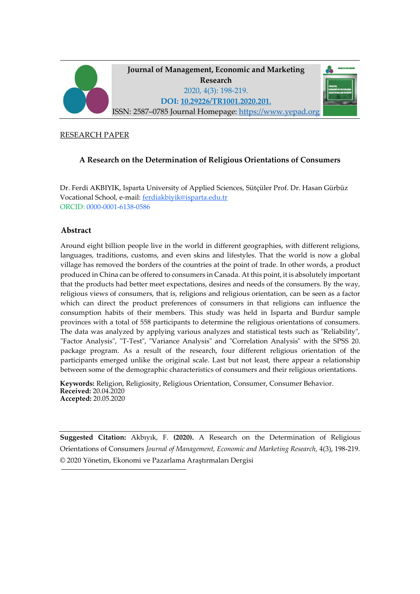

#### RESEARCH PAPER

# **A Research on the Determination of Religious Orientations of Consumers**

Dr. Ferdi AKBIYIK, Isparta University of Applied Sciences, Sütçüler Prof. Dr. Hasan Gürbüz Vocational School, e-mail: ferdiakbiyik@isparta.edu.tr ORCID: 0000-0001-6138-0586

### **Abstract**

Around eight billion people live in the world in different geographies, with different religions, languages, traditions, customs, and even skins and lifestyles. That the world is now a global village has removed the borders of the countries at the point of trade. In other words, a product produced in China can be offered to consumers in Canada. At this point, it is absolutely important that the products had better meet expectations, desires and needs of the consumers. By the way, religious views of consumers, that is, religions and religious orientation, can be seen as a factor which can direct the product preferences of consumers in that religions can influence the consumption habits of their members. This study was held in Isparta and Burdur sample provinces with a total of 558 participants to determine the religious orientations of consumers. The data was analyzed by applying various analyzes and statistical tests such as "Reliability", "Factor Analysis", "T-Test", "Variance Analysis" and "Correlation Analysis" with the SPSS 20. package program. As a result of the research, four different religious orientation of the participants emerged unlike the original scale. Last but not least, there appear a relationship between some of the demographic characteristics of consumers and their religious orientations.

**Keywords:** Religion, Religiosity, Religious Orientation, Consumer, Consumer Behavior. **Received:** 20.04.2020 **Accepted:** 20.05.2020

**Suggested Citation:** Akbıyık, F. **(2020).** A Research on the Determination of Religious Orientations of Consumers *Journal of Management, Economic and Marketing Research,* 4(3), 198-219. © 2020 Yönetim, Ekonomi ve Pazarlama Araştırmaları Dergisi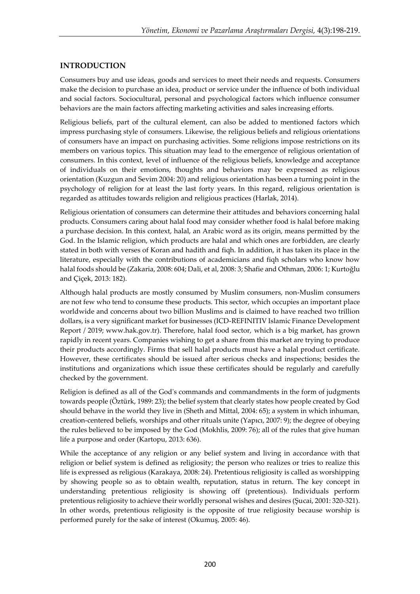## **INTRODUCTION**

Consumers buy and use ideas, goods and services to meet their needs and requests. Consumers make the decision to purchase an idea, product or service under the influence of both individual and social factors. Sociocultural, personal and psychological factors which influence consumer behaviors are the main factors affecting marketing activities and sales increasing efforts.

Religious beliefs, part of the cultural element, can also be added to mentioned factors which impress purchasing style of consumers. Likewise, the religious beliefs and religious orientations of consumers have an impact on purchasing activities. Some religions impose restrictions on its members on various topics. This situation may lead to the emergence of religious orientation of consumers. In this context, level of influence of the religious beliefs, knowledge and acceptance of individuals on their emotions, thoughts and behaviors may be expressed as religious orientation (Kuzgun and Sevim 2004: 20) and religious orientation has been a turning point in the psychology of religion for at least the last forty years. In this regard, religious orientation is regarded as attitudes towards religion and religious practices (Harlak, 2014).

Religious orientation of consumers can determine their attitudes and behaviors concerning halal products. Consumers caring about halal food may consider whether food is halal before making a purchase decision. In this context, halal, an Arabic word as its origin, means permitted by the God. In the Islamic religion, which products are halal and which ones are forbidden, are clearly stated in both with verses of Koran and hadith and fiqh. In addition, it has taken its place in the literature, especially with the contributions of academicians and fiqh scholars who know how halal foods should be (Zakaria, 2008: 604; Dali, et al, 2008: 3; Shafie and Othman, 2006: 1; Kurtoğlu and Çiçek, 2013: 182).

Although halal products are mostly consumed by Muslim consumers, non-Muslim consumers are not few who tend to consume these products. This sector, which occupies an important place worldwide and concerns about two billion Muslims and is claimed to have reached two trillion dollars, is a very significant market for businesses (ICD-REFINITIV Islamic Finance Development Report / 2019; www.hak.gov.tr). Therefore, halal food sector, which is a big market, has grown rapidly in recent years. Companies wishing to get a share from this market are trying to produce their products accordingly. Firms that sell halal products must have a halal product certificate. However, these certificates should be issued after serious checks and inspections; besides the institutions and organizations which issue these certificates should be regularly and carefully checked by the government.

Religion is defined as all of the God's commands and commandments in the form of judgments towards people (Öztürk, 1989: 23); the belief system that clearly states how people created by God should behave in the world they live in (Sheth and Mittal, 2004: 65); a system in which inhuman, creation-centered beliefs, worships and other rituals unite (Yapıcı, 2007: 9); the degree of obeying the rules believed to be imposed by the God (Mokhlis, 2009: 76); all of the rules that give human life a purpose and order (Kartopu, 2013: 636).

While the acceptance of any religion or any belief system and living in accordance with that religion or belief system is defined as religiosity; the person who realizes or tries to realize this life is expressed as religious (Karakaya, 2008: 24). Pretentious religiosity is called as worshipping by showing people so as to obtain wealth, reputation, status in return. The key concept in understanding pretentious religiosity is showing off (pretentious). Individuals perform pretentious religiosity to achieve their worldly personal wishes and desires (Şucai, 2001: 320-321). In other words, pretentious religiosity is the opposite of true religiosity because worship is performed purely for the sake of interest (Okumuş, 2005: 46).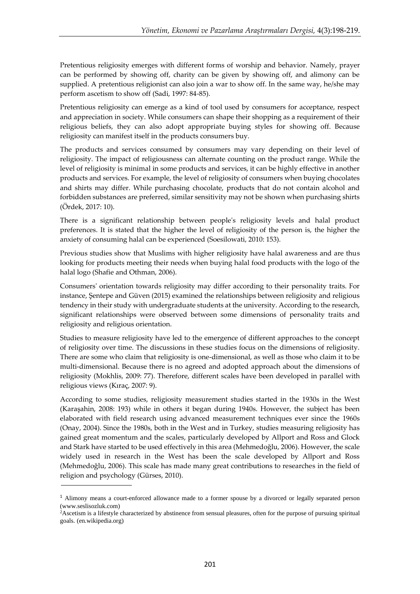Pretentious religiosity emerges with different forms of worship and behavior. Namely, prayer can be performed by showing off, charity can be given by showing off, and alimony can be supplied. A pretentious religionist can also join a war to show off. In the same way, he/she may perform ascetism to show off (Sadi, 1997: 84-85).

Pretentious religiosity can emerge as a kind of tool used by consumers for acceptance, respect and appreciation in society. While consumers can shape their shopping as a requirement of their religious beliefs, they can also adopt appropriate buying styles for showing off. Because religiosity can manifest itself in the products consumers buy.

The products and services consumed by consumers may vary depending on their level of religiosity. The impact of religiousness can alternate counting on the product range. While the level of religiosity is minimal in some products and services, it can be highly effective in another products and services. For example, the level of religiosity of consumers when buying chocolates and shirts may differ. While purchasing chocolate, products that do not contain alcohol and forbidden substances are preferred, similar sensitivity may not be shown when purchasing shirts (Ördek, 2017: 10).

There is a significant relationship between people's religiosity levels and halal product preferences. It is stated that the higher the level of religiosity of the person is, the higher the anxiety of consuming halal can be experienced (Soesilowati, 2010: 153).

Previous studies show that Muslims with higher religiosity have halal awareness and are thus looking for products meeting their needs when buying halal food products with the logo of the halal logo (Shafie and Othman, 2006).

Consumers' orientation towards religiosity may differ according to their personality traits. For instance, Şentepe and Güven (2015) examined the relationships between religiosity and religious tendency in their study with undergraduate students at the university. According to the research, significant relationships were observed between some dimensions of personality traits and religiosity and religious orientation.

Studies to measure religiosity have led to the emergence of different approaches to the concept of religiosity over time. The discussions in these studies focus on the dimensions of religiosity. There are some who claim that religiosity is one-dimensional, as well as those who claim it to be multi-dimensional. Because there is no agreed and adopted approach about the dimensions of religiosity (Mokhlis, 2009: 77). Therefore, different scales have been developed in parallel with religious views (Kıraç, 2007: 9).

According to some studies, religiosity measurement studies started in the 1930s in the West (Karaşahin, 2008: 193) while in others it began during 1940s. However, the subject has been elaborated with field research using advanced measurement techniques ever since the 1960s (Onay, 2004). Since the 1980s, both in the West and in Turkey, studies measuring religiosity has gained great momentum and the scales, particularly developed by Allport and Ross and Glock and Stark have started to be used effectively in this area (Mehmedoğlu, 2006). However, the scale widely used in research in the West has been the scale developed by Allport and Ross (Mehmedoğlu, 2006). This scale has made many great contributions to researches in the field of religion and psychology (Gürses, 2010).

<sup>&</sup>lt;sup>1</sup> Alimony means a court-enforced allowance made to a former spouse by a divorced or legally separated person [\(www.seslisozluk.com\)](http://www.seslisozluk.com/)

<sup>2</sup>Ascetism is a lifestyle characterized by [abstinence](https://en.wikipedia.org/wiki/Abstinence) from [sensual](https://en.wikipedia.org/wiki/Sensual) [pleasures,](https://en.wikipedia.org/wiki/Pleasure) often for the purpose of pursuing spiritual goals. (en.wikipedia.org)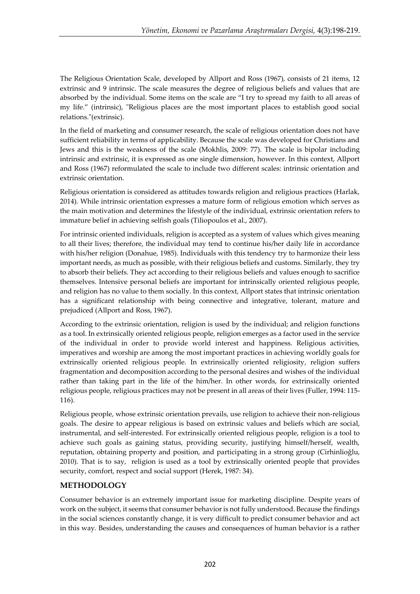The Religious Orientation Scale, developed by Allport and Ross (1967), consists of 21 items, 12 extrinsic and 9 intrinsic. The scale measures the degree of religious beliefs and values that are absorbed by the individual. Some items on the scale are "I try to spread my faith to all areas of my life." (intrinsic), "Religious places are the most important places to establish good social relations."(extrinsic).

In the field of marketing and consumer research, the scale of religious orientation does not have sufficient reliability in terms of applicability. Because the scale was developed for Christians and Jews and this is the weakness of the scale (Mokhlis, 2009: 77). The scale is bipolar including intrinsic and extrinsic, it is expressed as one single dimension, however. In this context, Allport and Ross (1967) reformulated the scale to include two different scales: intrinsic orientation and extrinsic orientation.

Religious orientation is considered as attitudes towards religion and religious practices (Harlak, 2014). While intrinsic orientation expresses a mature form of religious emotion which serves as the main motivation and determines the lifestyle of the individual, extrinsic orientation refers to immature belief in achieving selfish goals (Tiliopoulos et al., 2007).

For intrinsic oriented individuals, religion is accepted as a system of values which gives meaning to all their lives; therefore, the individual may tend to continue his/her daily life in accordance with his/her religion (Donahue, 1985). Individuals with this tendency try to harmonize their less important needs, as much as possible, with their religious beliefs and customs. Similarly, they try to absorb their beliefs. They act according to their religious beliefs and values enough to sacrifice themselves. Intensive personal beliefs are important for intrinsically oriented religious people, and religion has no value to them socially. In this context, Allport states that intrinsic orientation has a significant relationship with being connective and integrative, tolerant, mature and prejudiced (Allport and Ross, 1967).

According to the extrinsic orientation, religion is used by the individual; and religion functions as a tool. In extrinsically oriented religious people, religion emerges as a factor used in the service of the individual in order to provide world interest and happiness. Religious activities, imperatives and worship are among the most important practices in achieving worldly goals for extrinsically oriented religious people. In extrinsically oriented religiosity, religion suffers fragmentation and decomposition according to the personal desires and wishes of the individual rather than taking part in the life of the him/her. In other words, for extrinsically oriented religious people, religious practices may not be present in all areas of their lives (Fuller, 1994: 115- 116).

Religious people, whose extrinsic orientation prevails, use religion to achieve their non-religious goals. The desire to appear religious is based on extrinsic values and beliefs which are social, instrumental, and self-interested. For extrinsically oriented religious people, religion is a tool to achieve such goals as gaining status, providing security, justifying himself/herself, wealth, reputation, obtaining property and position, and participating in a strong group (Cirhinlioğlu, 2010). That is to say, religion is used as a tool by extrinsically oriented people that provides security, comfort, respect and social support (Herek, 1987: 34).

# **METHODOLOGY**

Consumer behavior is an extremely important issue for marketing discipline. Despite years of work on the subject, it seems that consumer behavior is not fully understood. Because the findings in the social sciences constantly change, it is very difficult to predict consumer behavior and act in this way. Besides, understanding the causes and consequences of human behavior is a rather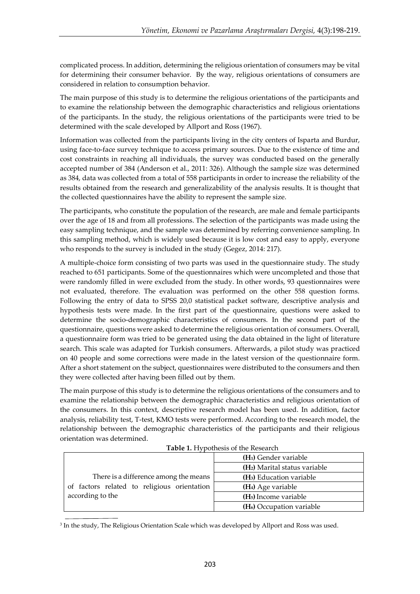complicated process. In addition, determining the religious orientation of consumers may be vital for determining their consumer behavior. By the way, religious orientations of consumers are considered in relation to consumption behavior.

The main purpose of this study is to determine the religious orientations of the participants and to examine the relationship between the demographic characteristics and religious orientations of the participants. In the study, the religious orientations of the participants were tried to be determined with the scale developed by Allport and Ross (1967).

Information was collected from the participants living in the city centers of Isparta and Burdur, using face-to-face survey technique to access primary sources. Due to the existence of time and cost constraints in reaching all individuals, the survey was conducted based on the generally accepted number of 384 (Anderson et al., 2011: 326). Although the sample size was determined as 384, data was collected from a total of 558 participants in order to increase the reliability of the results obtained from the research and generalizability of the analysis results. It is thought that the collected questionnaires have the ability to represent the sample size.

The participants, who constitute the population of the research, are male and female participants over the age of 18 and from all professions. The selection of the participants was made using the easy sampling technique, and the sample was determined by referring convenience sampling. In this sampling method, which is widely used because it is low cost and easy to apply, everyone who responds to the survey is included in the study (Gegez, 2014: 217).

A multiple-choice form consisting of two parts was used in the questionnaire study. The study reached to 651 participants. Some of the questionnaires which were uncompleted and those that were randomly filled in were excluded from the study. In other words, 93 questionnaires were not evaluated, therefore. The evaluation was performed on the other 558 question forms. Following the entry of data to SPSS 20,0 statistical packet software, descriptive analysis and hypothesis tests were made. In the first part of the questionnaire, questions were asked to determine the socio-demographic characteristics of consumers. In the second part of the questionnaire, questions were asked to determine the religious orientation of consumers. Overall, a questionnaire form was tried to be generated using the data obtained in the light of literature search. This scale was adapted for Turkish consumers. Afterwards, a pilot study was practiced on 40 people and some corrections were made in the latest version of the questionnaire form. After a short statement on the subject, questionnaires were distributed to the consumers and then they were collected after having been filled out by them.

The main purpose of this study is to determine the religious orientations of the consumers and to examine the relationship between the demographic characteristics and religious orientation of the consumers. In this context, descriptive research model has been used. In addition, factor analysis, reliability test, T-test, KMO tests were performed. According to the research model, the relationship between the demographic characteristics of the participants and their religious orientation was determined.

**Table 1.** Hypothesis of the Research

|                                             | (H <sub>1</sub> ) Gender variable         |
|---------------------------------------------|-------------------------------------------|
|                                             | (H <sub>2</sub> ) Marital status variable |
| There is a difference among the means       | (H <sub>3</sub> ) Education variable      |
| of factors related to religious orientation | (H <sub>4</sub> ) Age variable            |
| according to the                            | (H <sub>5</sub> ) Income variable         |
|                                             | (H <sub>6</sub> ) Occupation variable     |

 $^3$  In the study, The Religious Orientation Scale which was developed by Allport and Ross was used.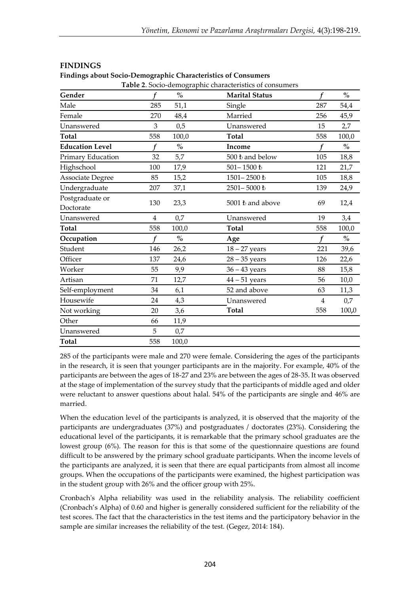|                              |                |       | <b>Table 2.</b> Socio-demographic characteristics of consumers |     |       |
|------------------------------|----------------|-------|----------------------------------------------------------------|-----|-------|
| Gender                       |                | $\%$  | <b>Marital Status</b>                                          | f   | $\%$  |
| Male                         | 285            | 51,1  | Single                                                         | 287 | 54,4  |
| Female                       | 270            | 48,4  | Married                                                        | 256 | 45,9  |
| Unanswered                   | 3              | 0,5   | Unanswered                                                     | 15  | 2,7   |
| Total                        | 558            | 100,0 | <b>Total</b>                                                   | 558 | 100,0 |
| <b>Education Level</b>       |                | $\%$  | Income                                                         |     | $\%$  |
| Primary Education            | 32             | 5,7   | 500 ₺ and below                                                | 105 | 18,8  |
| Highschool                   | 100            | 17,9  | $501-1500$ $\hbar$                                             | 121 | 21,7  |
| Associate Degree             | 85             | 15,2  | 1501-2500 ₺                                                    | 105 | 18,8  |
| Undergraduate                | 207            | 37,1  | 2501-5000 ₺                                                    | 139 | 24,9  |
| Postgraduate or<br>Doctorate | 130            | 23,3  | 5001 L and above                                               | 69  | 12,4  |
| Unanswered                   | $\overline{4}$ | 0,7   | Unanswered                                                     | 19  | 3,4   |
| <b>Total</b>                 | 558            | 100,0 | <b>Total</b>                                                   | 558 | 100,0 |
| Occupation                   |                | $\%$  | Age                                                            |     | $\%$  |
| Student                      | 146            | 26,2  | $18 - 27$ years                                                | 221 | 39,6  |
| Officer                      | 137            | 24,6  | $28 - 35$ years                                                | 126 | 22,6  |
| Worker                       | 55             | 9,9   | $36 - 43$ years                                                | 88  | 15,8  |
| Artisan                      | 71             | 12,7  | $44 - 51$ years                                                | 56  | 10,0  |
| Self-employment              | 34             | 6,1   | 52 and above                                                   | 63  | 11,3  |
| Housewife                    | 24             | 4,3   | Unanswered                                                     | 4   | 0,7   |
| Not working                  | 20             | 3,6   | <b>Total</b>                                                   | 558 | 100,0 |
| Other                        | 66             | 11,9  |                                                                |     |       |
| Unanswered                   | 5              | 0,7   |                                                                |     |       |
| <b>Total</b>                 | 558            | 100,0 |                                                                |     |       |

## **FINDINGS**

**Findings about Socio-Demographic Characteristics of Consumers**

285 of the participants were male and 270 were female. Considering the ages of the participants in the research, it is seen that younger participants are in the majority. For example, 40% of the participants are between the ages of 18-27 and 23% are between the ages of 28-35. It was observed at the stage of implementation of the survey study that the participants of middle aged and older were reluctant to answer questions about halal. 54% of the participants are single and 46% are married.

When the education level of the participants is analyzed, it is observed that the majority of the participants are undergraduates (37%) and postgraduates / doctorates (23%). Considering the educational level of the participants, it is remarkable that the primary school graduates are the lowest group (6%). The reason for this is that some of the questionnaire questions are found difficult to be answered by the primary school graduate participants. When the income levels of the participants are analyzed, it is seen that there are equal participants from almost all income groups. When the occupations of the participants were examined, the highest participation was in the student group with 26% and the officer group with 25%.

Cronbach's Alpha reliability was used in the reliability analysis. The reliability coefficient (Cronbach's Alpha) of 0.60 and higher is generally considered sufficient for the reliability of the test scores. The fact that the characteristics in the test items and the participatory behavior in the sample are similar increases the reliability of the test. (Gegez, 2014: 184).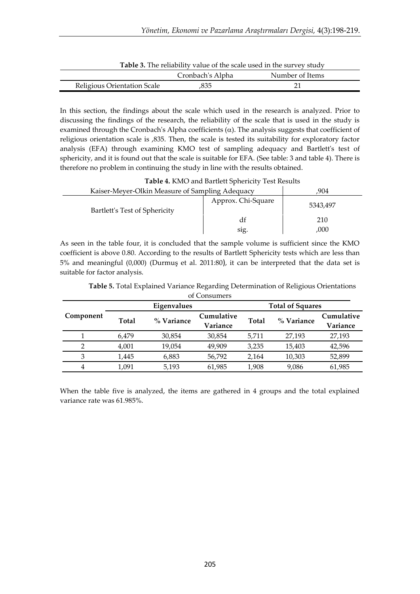| <b>Table 3.</b> The reliability value of the scale used in the survey study |                  |                 |  |  |  |  |
|-----------------------------------------------------------------------------|------------------|-----------------|--|--|--|--|
|                                                                             | Cronbach's Alpha | Number of Items |  |  |  |  |
| Religious Orientation Scale                                                 | .835             |                 |  |  |  |  |

**Table 3.** The reliability value of the scale used in the survey study

In this section, the findings about the scale which used in the research is analyzed. Prior to discussing the findings of the research, the reliability of the scale that is used in the study is examined through the Cronbach's Alpha coefficients  $(\alpha)$ . The analysis suggests that coefficient of religious orientation scale is ,835. Then, the scale is tested its suitability for exploratory factor analysis (EFA) through examining KMO test of sampling adequacy and Bartlett's test of sphericity, and it is found out that the scale is suitable for EFA. (See table: 3 and table 4). There is therefore no problem in continuing the study in line with the results obtained.

|                               | Kaiser-Meyer-Olkin Measure of Sampling Adequacy |          |  |
|-------------------------------|-------------------------------------------------|----------|--|
| Bartlett's Test of Sphericity | Approx. Chi-Square                              | 5343.497 |  |
|                               | аг                                              | 210      |  |
|                               | sig.                                            | ,000     |  |

As seen in the table four, it is concluded that the sample volume is sufficient since the KMO coefficient is above 0.80. According to the results of Bartlett Sphericity tests which are less than 5% and meaningful (0,000) (Durmuş et al. 2011:80), it can be interpreted that the data set is suitable for factor analysis.

| of Consumers |              |             |                        |       |                         |                        |  |
|--------------|--------------|-------------|------------------------|-------|-------------------------|------------------------|--|
|              |              | Eigenvalues |                        |       | <b>Total of Squares</b> |                        |  |
| Component    | <b>Total</b> | % Variance  | Cumulative<br>Variance | Total | % Variance              | Cumulative<br>Variance |  |
|              | 6.479        | 30,854      | 30,854                 | 5,711 | 27,193                  | 27,193                 |  |
| 2            | 4,001        | 19,054      | 49,909                 | 3,235 | 15,403                  | 42,596                 |  |
| 3            | 1,445        | 6,883       | 56,792                 | 2,164 | 10,303                  | 52,899                 |  |
| 4            | 1.091        | 5,193       | 61,985                 | 1.908 | 9,086                   | 61,985                 |  |

**Table 5.** Total Explained Variance Regarding Determination of Religious Orientations

When the table five is analyzed, the items are gathered in 4 groups and the total explained variance rate was 61.985%.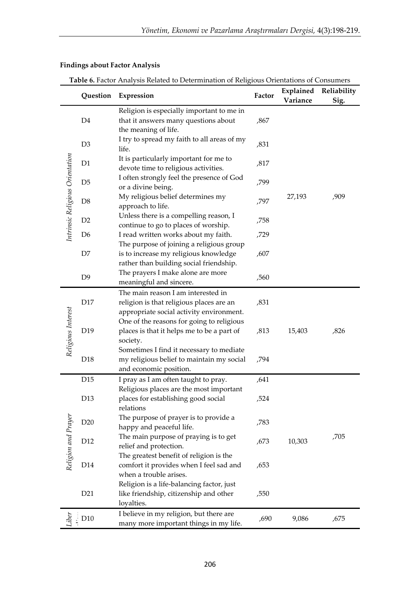|                                 | Question        | Expression                                                                                                                   | Factor | Explained<br>Variance | Reliability<br>Sig. |
|---------------------------------|-----------------|------------------------------------------------------------------------------------------------------------------------------|--------|-----------------------|---------------------|
|                                 | D <sub>4</sub>  | Religion is especially important to me in<br>that it answers many questions about<br>the meaning of life.                    | ,867   |                       |                     |
|                                 | D <sub>3</sub>  | I try to spread my faith to all areas of my<br>life.                                                                         | ,831   |                       |                     |
|                                 | D1              | It is particularly important for me to<br>devote time to religious activities.                                               | ,817   |                       |                     |
| Intrinsic Religious Orientation | D <sub>5</sub>  | I often strongly feel the presence of God<br>or a divine being.                                                              | ,799   |                       |                     |
|                                 | D <sub>8</sub>  | My religious belief determines my<br>approach to life.                                                                       | ,797   | 27,193                | ,909                |
|                                 | D <sub>2</sub>  | Unless there is a compelling reason, I<br>continue to go to places of worship.                                               | ,758   |                       |                     |
|                                 | D6              | I read written works about my faith.                                                                                         | ,729   |                       |                     |
|                                 | D7              | The purpose of joining a religious group<br>is to increase my religious knowledge<br>rather than building social friendship. | ,607   |                       |                     |
|                                 | D <sub>9</sub>  | The prayers I make alone are more<br>meaningful and sincere.                                                                 | ,560   |                       |                     |
|                                 | D17             | The main reason I am interested in<br>religion is that religious places are an<br>appropriate social activity environment.   | ,831   |                       |                     |
| Religious Interest              | D19             | One of the reasons for going to religious<br>places is that it helps me to be a part of<br>society.                          | ,813   | 15,403                | ,826                |
|                                 | D <sub>18</sub> | Sometimes I find it necessary to mediate<br>my religious belief to maintain my social<br>and economic position.              | ,794   |                       |                     |
|                                 | D15             | I pray as I am often taught to pray.                                                                                         | ,641   |                       |                     |
|                                 | D13             | Religious places are the most important<br>places for establishing good social<br>relations                                  | ,524   |                       |                     |
|                                 | D20             | The purpose of prayer is to provide a<br>happy and peaceful life.                                                            | ,783   |                       |                     |
|                                 | D12             | The main purpose of praying is to get<br>relief and protection.                                                              | ,673   | 10,303                | ,705                |
| Religion and Prayer             | D14             | The greatest benefit of religion is the<br>comfort it provides when I feel sad and<br>when a trouble arises.                 | ,653   |                       |                     |
|                                 | D21             | Religion is a life-balancing factor, just<br>like friendship, citizenship and other<br>loyalties.                            | ,550   |                       |                     |
|                                 | D <sub>10</sub> | I believe in my religion, but there are<br>many more important things in my life.                                            | ,690   | 9,086                 | ,675                |

# **Findings about Factor Analysis**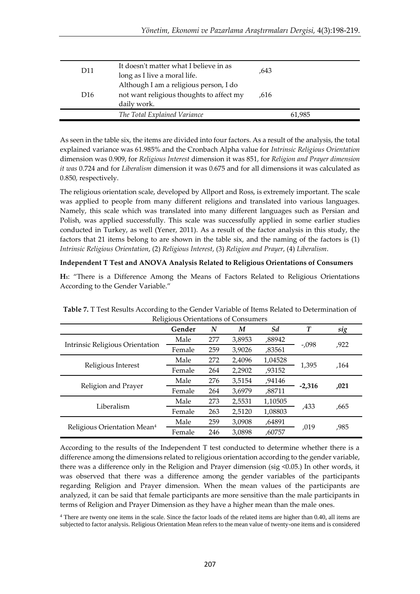| D <sub>11</sub> | It doesn't matter what I believe in as<br>long as I live a moral life.                            | .643   |
|-----------------|---------------------------------------------------------------------------------------------------|--------|
| D <sub>16</sub> | Although I am a religious person, I do<br>not want religious thoughts to affect my<br>daily work. | .616   |
|                 | The Total Explained Variance                                                                      | 61,985 |

As seen in the table six, the items are divided into four factors. As a result of the analysis, the total explained variance was 61.985% and the Cronbach Alpha value for *Intrinsic Religious Orientation* dimension was 0.909, for *Religious Interest* dimension it was 851, for *Religion and Prayer dimension it was* 0.724 and for *Liberalism* dimension it was 0.675 and for all dimensions it was calculated as 0.850, respectively.

The religious orientation scale, developed by Allport and Ross, is extremely important. The scale was applied to people from many different religions and translated into various languages. Namely, this scale which was translated into many different languages such as Persian and Polish, was applied successfully. This scale was successfully applied in some earlier studies conducted in Turkey, as well (Yener, 2011). As a result of the factor analysis in this study, the factors that 21 items belong to are shown in the table six, and the naming of the factors is (1) *Intrinsic Religious Orientation*, (2) *Religious Interest*, (3) *Religion and Prayer*, (4) *Liberalism*.

#### **Independent T Test and ANOVA Analysis Related to Religious Orientations of Consumers**

**H1**: "There is a Difference Among the Means of Factors Related to Religious Orientations According to the Gender Variable."

|                                         | Gender | N   | M      | Sd      | $\boldsymbol{T}$ | sig  |
|-----------------------------------------|--------|-----|--------|---------|------------------|------|
|                                         | Male   | 277 | 3,8953 | ,88942  | $-0.098$         | ,922 |
| Intrinsic Religious Orientation         | Female | 259 | 3,9026 | ,83561  |                  |      |
|                                         | Male   | 272 | 2,4096 | 1,04528 |                  |      |
| Religious Interest                      | Female | 264 | 2,2902 | ,93152  | 1,395            | ,164 |
|                                         | Male   | 276 | 3,5154 | ,94146  |                  |      |
| Religion and Prayer                     | Female | 264 | 3,6979 | ,88711  | $-2,316$         | ,021 |
|                                         | Male   | 273 | 2,5531 | 1,10505 |                  |      |
| Liberalism                              | Female | 263 | 2,5120 | 1,08803 | ,433             | .665 |
|                                         | Male   | 259 | 3,0908 | ,64891  |                  |      |
| Religious Orientation Mean <sup>4</sup> | Female | 246 | 3,0898 | ,60757  | ,019             | ,985 |

**Table 7.** T Test Results According to the Gender Variable of Items Related to Determination of  $R_{\text{R}}$ 

According to the results of the Independent T test conducted to determine whether there is a difference among the dimensions related to religious orientation according to the gender variable, there was a difference only in the Religion and Prayer dimension (sig <0.05.) In other words, it was observed that there was a difference among the gender variables of the participants regarding Religion and Prayer dimension. When the mean values of the participants are analyzed, it can be said that female participants are more sensitive than the male participants in terms of Religion and Prayer Dimension as they have a higher mean than the male ones.

<sup>4</sup> There are twenty one items in the scale. Since the factor loads of the related items are higher than 0.40, all items are subjected to factor analysis. Religious Orientation Mean refers to the mean value of twenty-one items and is considered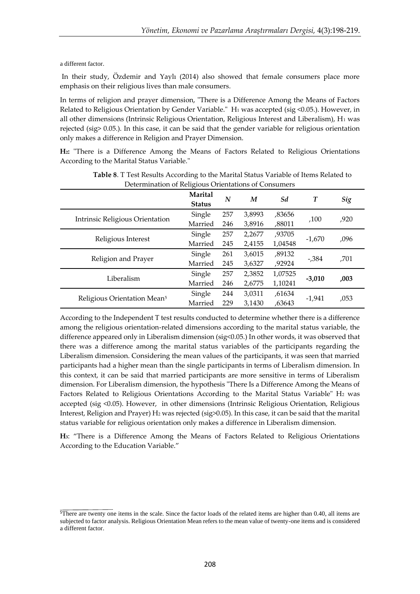a different factor.

In their study, Özdemir and Yaylı (2014) also showed that female consumers place more emphasis on their religious lives than male consumers.

In terms of religion and prayer dimension, "There is a Difference Among the Means of Factors Related to Religious Orientation by Gender Variable."  $H_1$  was accepted (sig <0.05.). However, in all other dimensions (Intrinsic Religious Orientation, Religious Interest and Liberalism), H1 was rejected (sig> 0.05.). In this case, it can be said that the gender variable for religious orientation only makes a difference in Religion and Prayer Dimension.

**H2:** "There is a Difference Among the Means of Factors Related to Religious Orientations According to the Marital Status Variable."

| Determination of Rengious Orientations of Consumers |                          |     |        |         |                  |      |  |
|-----------------------------------------------------|--------------------------|-----|--------|---------|------------------|------|--|
|                                                     | Marital<br><b>Status</b> | N   | M      | Sd      | $\boldsymbol{T}$ | Sig  |  |
|                                                     | Single                   | 257 | 3,8993 | ,83656  |                  |      |  |
| Intrinsic Religious Orientation                     | Married                  | 246 | 3,8916 | ,88011  | ,100             | ,920 |  |
|                                                     | Single                   | 257 | 2,2677 | ,93705  |                  |      |  |
| Religious Interest                                  | Married                  | 245 | 2,4155 | 1,04548 | $-1,670$         | ,096 |  |
|                                                     | Single                   | 261 | 3,6015 | ,89132  |                  |      |  |
| Religion and Prayer                                 | Married                  | 245 | 3,6327 | ,92924  | $-0.384$         | ,701 |  |
|                                                     | Single                   | 257 | 2,3852 | 1,07525 |                  |      |  |
| Liberalism                                          | Married                  | 246 | 2,6775 | 1,10241 | $-3,010$         | ,003 |  |
|                                                     | Single                   | 244 | 3,0311 | ,61634  |                  |      |  |
| Religious Orientation Mean <sup>5</sup>             | Married                  | 229 | 3.1430 | ,63643  | $-1,941$         | ,053 |  |

**Table 8**. T Test Results According to the Marital Status Variable of Items Related to Determination of Religious Orientations of Consumers

According to the Independent T test results conducted to determine whether there is a difference among the religious orientation-related dimensions according to the marital status variable, the difference appeared only in Liberalism dimension (sig<0.05.) In other words, it was observed that there was a difference among the marital status variables of the participants regarding the Liberalism dimension. Considering the mean values of the participants, it was seen that married participants had a higher mean than the single participants in terms of Liberalism dimension. In this context, it can be said that married participants are more sensitive in terms of Liberalism dimension. For Liberalism dimension, the hypothesis "There Is a Difference Among the Means of Factors Related to Religious Orientations According to the Marital Status Variable" H<sub>2</sub> was accepted (sig <0.05). However, in other dimensions (Intrinsic Religious Orientation, Religious Interest, Religion and Prayer) H<sub>2</sub> was rejected (sig $>0.05$ ). In this case, it can be said that the marital status variable for religious orientation only makes a difference in Liberalism dimension.

**H3**: "There is a Difference Among the Means of Factors Related to Religious Orientations According to the Education Variable."

<sup>&</sup>lt;sup>5</sup>There are twenty one items in the scale. Since the factor loads of the related items are higher than 0.40, all items are subjected to factor analysis. Religious Orientation Mean refers to the mean value of twenty-one items and is considered a different factor.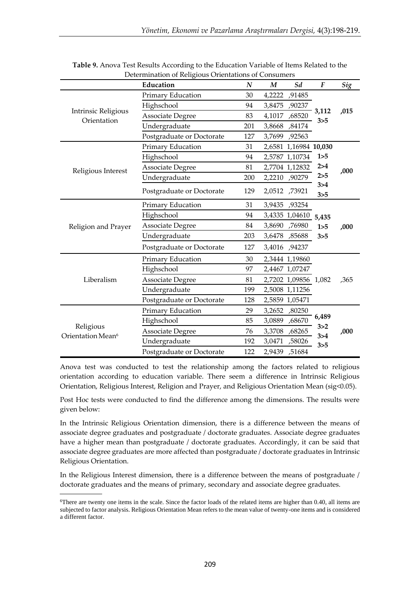|                                            | Education                 | $\boldsymbol{N}$ | $\boldsymbol{M}$ | Sd                    | $\boldsymbol{F}$ | <b>Sig</b> |
|--------------------------------------------|---------------------------|------------------|------------------|-----------------------|------------------|------------|
|                                            | Primary Education         | 30               | 4,2222           | ,91485                |                  |            |
| <b>Intrinsic Religious</b>                 | Highschool                | 94               | 3,8475           | ,90237                | 3,112            |            |
| Orientation                                | <b>Associate Degree</b>   | 83               | 4,1017           | ,68520                | 3 > 5            | ,015       |
|                                            | Undergraduate             | 201              | 3,8668           | ,84174                |                  |            |
|                                            | Postgraduate or Doctorate | 127              |                  | 3,7699, 92563         |                  |            |
|                                            | Primary Education         | 31               |                  | 2,6581 1,16984 10,030 |                  |            |
|                                            | Highschool                | 94               |                  | 2,5787 1,10734        | 1 > 5            |            |
| Religious Interest                         | Associate Degree          | 81               |                  | 2,7704 1,12832        | 2 > 4            | ,000       |
|                                            | Undergraduate             | 200              |                  | 2,2210, 90279         | 2 > 5            |            |
|                                            | Postgraduate or Doctorate | 129              |                  | 2,0512,73921          | 3 > 4<br>3 > 5   |            |
|                                            | Primary Education         | 31               |                  | 3,9435, 33254         |                  |            |
|                                            | Highschool                | 94               |                  | 3,4335 1,04610        | 5,435            |            |
| Religion and Prayer                        | Associate Degree          | 84               |                  | 3,8690,76980          | 1>5              | ,000       |
|                                            | Undergraduate             | 203              |                  | 3,6478, 85688         | 3 > 5            |            |
|                                            | Postgraduate or Doctorate | 127              |                  | 3,4016, 94237         |                  |            |
|                                            | Primary Education         | 30               |                  | 2,3444 1,19860        |                  |            |
|                                            | Highschool                | 97               |                  | 2,4467 1,07247        |                  |            |
| Liberalism                                 | Associate Degree          | 81               |                  | 2,7202 1,09856 1,082  |                  | ,365       |
|                                            | Undergraduate             | 199              |                  | 2,5008 1,11256        |                  |            |
|                                            | Postgraduate or Doctorate | 128              |                  | 2,5859 1,05471        |                  |            |
|                                            | Primary Education         | 29               |                  | 3,2652,80250          |                  |            |
|                                            | Highschool                | 85               | 3,0889           | ,68670                | 6,489            |            |
| Religious<br>Orientation Mean <sup>6</sup> | <b>Associate Degree</b>   | 76               |                  | 3,3708 ,68265         | 3 > 2<br>3 > 4   | ,000       |
|                                            | Undergraduate             | 192              |                  | 3,0471,58026          | 3 > 5            |            |
|                                            | Postgraduate or Doctorate | 122              | 2,9439           | ,51684                |                  |            |

**Table 9.** Anova Test Results According to the Education Variable of Items Related to the Determination of Religious Orientations of Consumers

Anova test was conducted to test the relationship among the factors related to religious orientation according to education variable. There seem a difference in Intrinsic Religious Orientation, Religious Interest, Religion and Prayer, and Religious Orientation Mean (sig<0.05).

Post Hoc tests were conducted to find the difference among the dimensions. The results were given below:

In the Intrinsic Religious Orientation dimension, there is a difference between the means of associate degree graduates and postgraduate / doctorate graduates. Associate degree graduates have a higher mean than postgraduate / doctorate graduates. Accordingly, it can be said that associate degree graduates are more affected than postgraduate / doctorate graduates in Intrinsic Religious Orientation.

In the Religious Interest dimension, there is a difference between the means of postgraduate / doctorate graduates and the means of primary, secondary and associate degree graduates.

<sup>6</sup>There are twenty one items in the scale. Since the factor loads of the related items are higher than 0.40, all items are subjected to factor analysis. Religious Orientation Mean refers to the mean value of twenty-one items and is considered a different factor.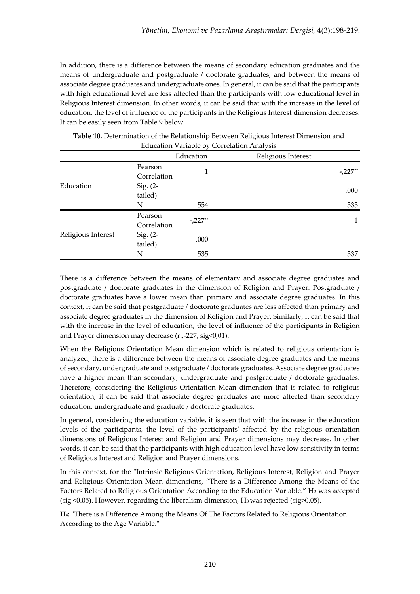In addition, there is a difference between the means of secondary education graduates and the means of undergraduate and postgraduate / doctorate graduates, and between the means of associate degree graduates and undergraduate ones. In general, it can be said that the participants with high educational level are less affected than the participants with low educational level in Religious Interest dimension. In other words, it can be said that with the increase in the level of education, the level of influence of the participants in the Religious Interest dimension decreases. It can be easily seen from Table 9 below.

|                    |                        | Education | Religious Interest |           |
|--------------------|------------------------|-----------|--------------------|-----------|
|                    | Pearson<br>Correlation | 1         |                    | $-.227**$ |
| Education          | Sig. $(2-$<br>tailed)  |           |                    | ,000      |
|                    | N                      | 554       |                    | 535       |
|                    | Pearson<br>Correlation | $-.227**$ |                    | 1         |
| Religious Interest | Sig. $(2-$<br>tailed)  | ,000      |                    |           |
|                    | N                      | 535       |                    | 537       |

| Table 10. Determination of the Relationship Between Religious Interest Dimension and |  |
|--------------------------------------------------------------------------------------|--|
| <b>Education Variable by Correlation Analysis</b>                                    |  |

There is a difference between the means of elementary and associate degree graduates and postgraduate / doctorate graduates in the dimension of Religion and Prayer. Postgraduate / doctorate graduates have a lower mean than primary and associate degree graduates. In this context, it can be said that postgraduate / doctorate graduates are less affected than primary and associate degree graduates in the dimension of Religion and Prayer. Similarly, it can be said that with the increase in the level of education, the level of influence of the participants in Religion and Prayer dimension may decrease (r:,-227; sig<0,01).

When the Religious Orientation Mean dimension which is related to religious orientation is analyzed, there is a difference between the means of associate degree graduates and the means of secondary, undergraduate and postgraduate / doctorate graduates. Associate degree graduates have a higher mean than secondary, undergraduate and postgraduate / doctorate graduates. Therefore, considering the Religious Orientation Mean dimension that is related to religious orientation, it can be said that associate degree graduates are more affected than secondary education, undergraduate and graduate / doctorate graduates.

In general, considering the education variable, it is seen that with the increase in the education levels of the participants, the level of the participants' affected by the religious orientation dimensions of Religious Interest and Religion and Prayer dimensions may decrease. In other words, it can be said that the participants with high education level have low sensitivity in terms of Religious Interest and Religion and Prayer dimensions.

In this context, for the "Intrinsic Religious Orientation, Religious Interest, Religion and Prayer and Religious Orientation Mean dimensions, "There is a Difference Among the Means of the Factors Related to Religious Orientation According to the Education Variable." H<sub>3</sub> was accepted (sig  $\leq$ 0.05). However, regarding the liberalism dimension, H<sub>3</sub> was rejected (sig $\geq$ 0.05).

**H4:** "There is a Difference Among the Means Of The Factors Related to Religious Orientation According to the Age Variable."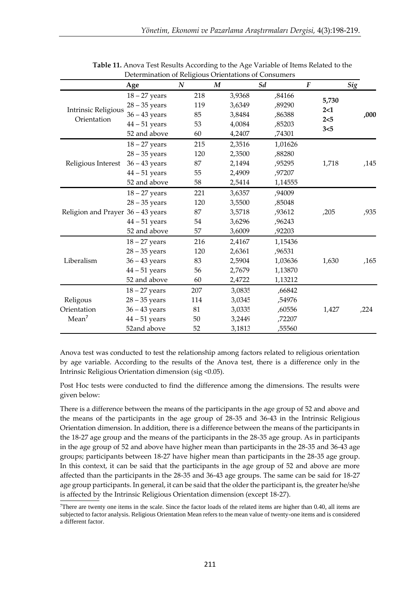|                                           | scientification of rienzious Onemations of Consumers<br>Age | $\boldsymbol{N}$ |     | $\boldsymbol{M}$ |        | Sd |         | $\boldsymbol{F}$ |            | Sig |      |
|-------------------------------------------|-------------------------------------------------------------|------------------|-----|------------------|--------|----|---------|------------------|------------|-----|------|
|                                           | $18 - 27$ years                                             |                  | 218 |                  | 3,9368 |    | ,84166  |                  |            |     |      |
|                                           | $28 - 35$ years                                             |                  | 119 |                  | 3,6349 |    | ,89290  |                  | 5,730      |     |      |
| <b>Intrinsic Religious</b><br>Orientation | $36 - 43$ years                                             |                  | 85  |                  | 3,8484 |    | ,86388  |                  | 2<1<br>2<5 |     | ,000 |
|                                           | $44 - 51$ years                                             |                  | 53  |                  | 4,0084 |    | ,85203  |                  |            |     |      |
|                                           | 52 and above                                                |                  | 60  |                  | 4,2407 |    | ,74301  |                  | 3<5        |     |      |
|                                           | $18 - 27$ years                                             |                  | 215 |                  | 2,3516 |    | 1,01626 |                  |            |     |      |
|                                           | $28 - 35$ years                                             |                  | 120 |                  | 2,3500 |    | ,88280  |                  |            |     |      |
| Religious Interest                        | $36 - 43$ years                                             |                  | 87  |                  | 2,1494 |    | ,95295  |                  | 1,718      |     | ,145 |
|                                           | $44 - 51$ years                                             |                  | 55  |                  | 2,4909 |    | ,97207  |                  |            |     |      |
|                                           | 52 and above                                                |                  | 58  |                  | 2,5414 |    | 1,14555 |                  |            |     |      |
|                                           | $18 - 27$ years                                             |                  | 221 |                  | 3,6357 |    | ,94009  |                  |            |     |      |
|                                           | $28 - 35$ years                                             |                  | 120 |                  | 3,5500 |    | ,85048  |                  |            |     |      |
| Religion and Prayer 36 - 43 years         |                                                             |                  | 87  |                  | 3,5718 |    | ,93612  |                  | ,205       |     | ,935 |
|                                           | $44 - 51$ years                                             |                  | 54  |                  | 3,6296 |    | ,96243  |                  |            |     |      |
|                                           | 52 and above                                                |                  | 57  |                  | 3,6009 |    | ,92203  |                  |            |     |      |
|                                           | $18 - 27$ years                                             |                  | 216 |                  | 2,4167 |    | 1,15436 |                  |            |     |      |
|                                           | $28 - 35$ years                                             |                  | 120 |                  | 2,6361 |    | ,96531  |                  |            |     |      |
| Liberalism                                | $36 - 43$ years                                             |                  | 83  |                  | 2,5904 |    | 1,03636 |                  | 1,630      |     | ,165 |
|                                           | $44 - 51$ years                                             |                  | 56  |                  | 2,7679 |    | 1,13870 |                  |            |     |      |
|                                           | 52 and above                                                |                  | 60  |                  | 2,4722 |    | 1,13212 |                  |            |     |      |
|                                           | $18 - 27$ years                                             |                  | 207 |                  | 3,0835 |    | ,66842  |                  |            |     |      |
| Religous                                  | $28 - 35$ years                                             |                  | 114 |                  | 3,0345 |    | ,54976  |                  |            |     |      |
| Orientation                               | $36 - 43$ years                                             |                  | 81  |                  | 3,0335 |    | ,60556  |                  | 1,427      |     | ,224 |
| Mean <sup>7</sup>                         | $44 - 51$ years                                             |                  | 50  |                  | 3,2449 |    | ,72207  |                  |            |     |      |
|                                           | 52and above                                                 |                  | 52  |                  | 3,1813 |    | ,55560  |                  |            |     |      |

**Table 11.** Anova Test Results According to the Age Variable of Items Related to the Determination of Religious Orientations of Consumers

Anova test was conducted to test the relationship among factors related to religious orientation by age variable. According to the results of the Anova test, there is a difference only in the Intrinsic Religious Orientation dimension (sig <0.05).

Post Hoc tests were conducted to find the difference among the dimensions. The results were given below:

There is a difference between the means of the participants in the age group of 52 and above and the means of the participants in the age group of 28-35 and 36-43 in the Intrinsic Religious Orientation dimension. In addition, there is a difference between the means of the participants in the 18-27 age group and the means of the participants in the 28-35 age group. As in participants in the age group of 52 and above have higher mean than participants in the 28-35 and 36-43 age groups; participants between 18-27 have higher mean than participants in the 28-35 age group. In this context, it can be said that the participants in the age group of 52 and above are more affected than the participants in the 28-35 and 36-43 age groups. The same can be said for 18-27 age group participants. In general, it can be said that the older the participant is, the greater he/she is affected by the Intrinsic Religious Orientation dimension (except 18-27).

There are twenty one items in the scale. Since the factor loads of the related items are higher than  $0.40$ , all items are subjected to factor analysis. Religious Orientation Mean refers to the mean value of twenty-one items and is considered a different factor.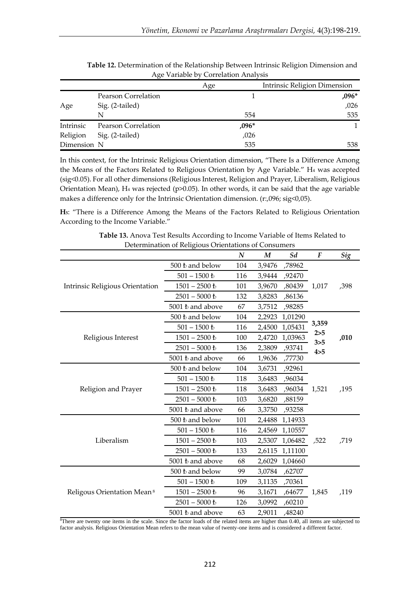|             |                            | Age     | Intrinsic Religion Dimension |
|-------------|----------------------------|---------|------------------------------|
|             | Pearson Correlation        |         | $,096*$                      |
| Age         | Sig. (2-tailed)            |         | ,026                         |
|             | N                          | 554     | 535                          |
| Intrinsic   | <b>Pearson Correlation</b> | $,096*$ |                              |
| Religion    | Sig. (2-tailed)            | ,026    |                              |
| Dimension N |                            | 535     | 538                          |

**Table 12.** Determination of the Relationship Between Intrinsic Religion Dimension and Age Variable by Correlation Analysis

In this context, for the Intrinsic Religious Orientation dimension, "There Is a Difference Among the Means of the Factors Related to Religious Orientation by Age Variable." H<sup>4</sup> was accepted (sig<0.05). For all other dimensions (Religious Interest, Religion and Prayer, Liberalism, Religious Orientation Mean), H<sup>4</sup> was rejected (p>0.05). In other words, it can be said that the age variable makes a difference only for the Intrinsic Orientation dimension. (r:,096; sig<0,05).

**H5**: "There is a Difference Among the Means of the Factors Related to Religious Orientation According to the Income Variable."

|                                        | Determination of Religious Orientations of Consumers | N   | M      | Sd      | $\boldsymbol{F}$ | Sig  |
|----------------------------------------|------------------------------------------------------|-----|--------|---------|------------------|------|
|                                        | 500 ₺ and below                                      | 104 | 3,9476 | ,78962  |                  |      |
|                                        | $501 - 1500$ $\rm{t}$                                | 116 | 3,9444 | ,92470  |                  |      |
| Intrinsic Religious Orientation        | $1501 - 2500$ $\hbar$                                | 101 | 3,9670 | ,80439  | 1,017            | ,398 |
|                                        | $2501 - 5000$ $\hbar$                                | 132 | 3,8283 | ,86136  |                  |      |
|                                        | 5001 ₺ and above                                     | 67  | 3,7512 | ,98285  |                  |      |
|                                        | 500 ₺ and below                                      | 104 | 2,2923 | 1,01290 |                  |      |
|                                        | $501 - 1500$ $\hbar$                                 | 116 | 2,4500 | 1,05431 | 3,359            |      |
| Religious Interest                     | $1501 - 2500$ $\hbar$                                | 100 | 2,4720 | 1,03963 | 2 > 5            | ,010 |
|                                        | $2501 - 5000$ $\hbar$                                | 136 | 2,3809 | ,93741  | 3 > 5<br>4 > 5   |      |
|                                        | 5001 ₺ and above                                     | 66  | 1,9636 | ,77730  |                  |      |
|                                        | 500 ₺ and below                                      | 104 | 3,6731 | ,92961  |                  |      |
|                                        | $501 - 1500$ $\hbar$                                 | 118 | 3,6483 | ,96034  |                  |      |
| Religion and Prayer                    | $1501 - 2500$ $\hbar$                                | 118 | 3,6483 | ,96034  | 1,521            | ,195 |
|                                        | $2501 - 5000$ $\hbar$                                | 103 | 3,6820 | ,88159  |                  |      |
|                                        | 5001 t and above                                     | 66  | 3,3750 | ,93258  |                  |      |
|                                        | 500 ₺ and below                                      | 101 | 2,4488 | 1,14933 |                  |      |
|                                        | $501 - 1500$ $\hbar$                                 | 116 | 2,4569 | 1,10557 |                  |      |
| Liberalism                             | $1501 - 2500$ $\hbar$                                | 103 | 2,5307 | 1,06482 | ,522             | ,719 |
|                                        | $2501 - 5000$ $\hbar$                                | 133 | 2,6115 | 1,11100 |                  |      |
|                                        | 5001 ₺ and above                                     | 68  | 2,6029 | 1,04660 |                  |      |
|                                        | 500 ₺ and below                                      | 99  | 3,0784 | ,62707  |                  |      |
|                                        | $501 - 1500$ $\hbar$                                 | 109 | 3,1135 | ,70361  |                  |      |
| Religous Orientation Mean <sup>8</sup> | $1501 - 2500$ $\hbar$                                | 96  | 3,1671 | ,64677  | 1,845            | ,119 |
|                                        | $2501 - 5000$ $\hbar$                                | 126 | 3,0992 | ,60210  |                  |      |
|                                        | 5001 t and above                                     | 63  | 2,9011 | ,48240  |                  |      |

**Table 13.** Anova Test Results According to Income Variable of Items Related to Determination of Religious Orientations of Consumers

<sup>8</sup>There are twenty one items in the scale. Since the factor loads of the related items are higher than 0.40, all items are subjected to factor analysis. Religious Orientation Mean refers to the mean value of twenty-one items and is considered a different factor.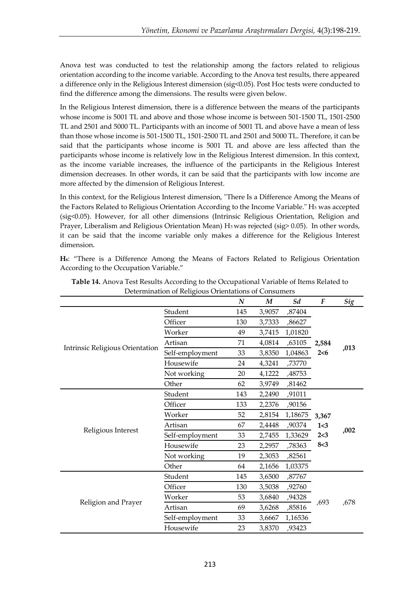Anova test was conducted to test the relationship among the factors related to religious orientation according to the income variable. According to the Anova test results, there appeared a difference only in the Religious Interest dimension (sig<0.05). Post Hoc tests were conducted to find the difference among the dimensions. The results were given below.

In the Religious Interest dimension, there is a difference between the means of the participants whose income is 5001 TL and above and those whose income is between 501-1500 TL, 1501-2500 TL and 2501 and 5000 TL. Participants with an income of 5001 TL and above have a mean of less than those whose income is 501-1500 TL, 1501-2500 TL and 2501 and 5000 TL. Therefore, it can be said that the participants whose income is 5001 TL and above are less affected than the participants whose income is relatively low in the Religious Interest dimension. In this context, as the income variable increases, the influence of the participants in the Religious Interest dimension decreases. In other words, it can be said that the participants with low income are more affected by the dimension of Religious Interest.

In this context, for the Religious Interest dimension, "There Is a Difference Among the Means of the Factors Related to Religious Orientation According to the Income Variable." H<sub>5</sub> was accepted (sig<0.05). However, for all other dimensions (Intrinsic Religious Orientation, Religion and Prayer, Liberalism and Religious Orientation Mean) H<sub>5</sub> was rejected (sig> 0.05). In other words, it can be said that the income variable only makes a difference for the Religious Interest dimension.

**H6**: "There is a Difference Among the Means of Factors Related to Religious Orientation According to the Occupation Variable."

|                                 | Determination of Religious Orientations of Consumers | N   | M      | Sd      | F          | Sig  |
|---------------------------------|------------------------------------------------------|-----|--------|---------|------------|------|
|                                 | Student                                              |     |        |         |            |      |
|                                 |                                                      | 145 | 3,9057 | ,87404  |            |      |
|                                 | Officer                                              | 130 | 3,7333 | ,86627  |            |      |
|                                 | Worker                                               | 49  | 3,7415 | 1,01820 |            |      |
| Intrinsic Religious Orientation | Artisan                                              | 71  | 4,0814 | ,63105  | 2,584      | ,013 |
|                                 | Self-employment                                      | 33  | 3,8350 | 1,04863 | 2 < 6      |      |
|                                 | Housewife                                            | 24  | 4,3241 | ,73770  |            |      |
|                                 | Not working                                          | 20  | 4,1222 | ,48753  |            |      |
|                                 | Other                                                | 62  | 3,9749 | ,81462  |            |      |
|                                 | Student                                              | 143 | 2,2490 | ,91011  |            |      |
|                                 | Officer                                              | 133 | 2,2376 | ,90156  |            |      |
|                                 | Worker                                               | 52  | 2,8154 | 1,18675 | 3,367      |      |
| Religious Interest              | Artisan                                              | 67  | 2,4448 | ,90374  | 1<3        | ,002 |
|                                 | Self-employment                                      | 33  | 2,7455 | 1,33629 | 2<3<br>8<3 |      |
|                                 | Housewife                                            | 23  | 2,2957 | ,78363  |            |      |
|                                 | Not working                                          | 19  | 2,3053 | ,82561  |            |      |
|                                 | Other                                                | 64  | 2,1656 | 1,03375 |            |      |
|                                 | Student                                              | 145 | 3,6500 | ,87767  |            |      |
|                                 | Officer                                              | 130 | 3,5038 | ,92760  |            |      |
|                                 | Worker                                               | 53  | 3,6840 | ,94328  | ,693       |      |
| Religion and Prayer             | Artisan                                              | 69  | 3,6268 | ,85816  |            | ,678 |
|                                 | Self-employment                                      | 33  | 3,6667 | 1,16536 |            |      |
|                                 | Housewife                                            | 23  | 3,8370 | ,93423  |            |      |

**Table 14.** Anova Test Results According to the Occupational Variable of Items Related to Determination of Religious Orientations of Consumers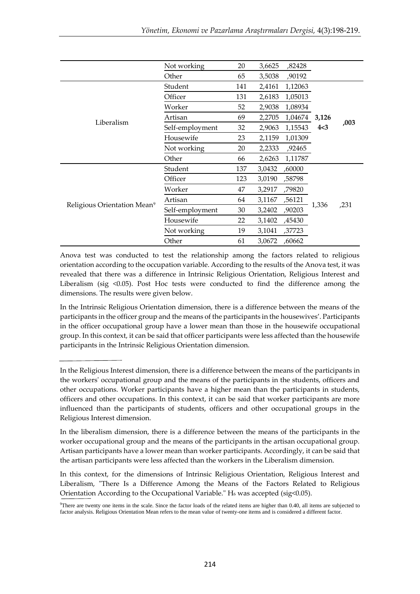|                                         | Not working                     | 20  | 3,6625 | ,82428  |       |      |
|-----------------------------------------|---------------------------------|-----|--------|---------|-------|------|
|                                         | Other                           | 65  | 3,5038 | ,90192  |       |      |
|                                         | Student                         | 141 | 2,4161 | 1,12063 |       |      |
|                                         | Officer                         | 131 | 2,6183 | 1,05013 |       |      |
|                                         | Worker                          | 52  | 2,9038 | 1,08934 |       |      |
| Liberalism                              | Artisan                         | 69  | 2,2705 | 1,04674 | 3,126 |      |
|                                         | Self-employment                 | 32  | 2,9063 | 1,15543 | 4<3   | ,003 |
|                                         | Housewife                       | 23  | 2,1159 | 1,01309 |       |      |
|                                         | Not working                     | 20  | 2,2333 | ,92465  |       |      |
|                                         | Other                           | 66  | 2,6263 | 1,11787 |       |      |
|                                         | Student                         | 137 | 3,0432 | ,60000  |       |      |
|                                         | Officer                         | 123 | 3,0190 | ,58798  |       |      |
|                                         | Worker                          | 47  | 3,2917 | ,79820  |       |      |
| Religious Orientation Mean <sup>9</sup> | Artisan                         | 64  | 3,1167 | ,56121  |       |      |
|                                         | Self-employment<br>30<br>3,2402 |     | ,90203 | 1,336   | ,231  |      |
|                                         | Housewife                       | 22  | 3,1402 | ,45430  |       |      |
|                                         | Not working                     | 19  | 3,1041 | ,37723  |       |      |
|                                         | Other                           | 61  | 3,0672 | ,60662  |       |      |

Anova test was conducted to test the relationship among the factors related to religious orientation according to the occupation variable. According to the results of the Anova test, it was revealed that there was a difference in Intrinsic Religious Orientation, Religious Interest and Liberalism (sig <0.05). Post Hoc tests were conducted to find the difference among the dimensions. The results were given below.

In the Intrinsic Religious Orientation dimension, there is a difference between the means of the participants in the officer group and the means of the participants in the housewives'. Participants in the officer occupational group have a lower mean than those in the housewife occupational group. In this context, it can be said that officer participants were less affected than the housewife participants in the Intrinsic Religious Orientation dimension.

In the Religious Interest dimension, there is a difference between the means of the participants in the workers' occupational group and the means of the participants in the students, officers and other occupations. Worker participants have a higher mean than the participants in students, officers and other occupations. In this context, it can be said that worker participants are more influenced than the participants of students, officers and other occupational groups in the Religious Interest dimension.

In the liberalism dimension, there is a difference between the means of the participants in the worker occupational group and the means of the participants in the artisan occupational group. Artisan participants have a lower mean than worker participants. Accordingly, it can be said that the artisan participants were less affected than the workers in the Liberalism dimension.

In this context, for the dimensions of Intrinsic Religious Orientation, Religious Interest and Liberalism, "There Is a Difference Among the Means of the Factors Related to Religious Orientation According to the Occupational Variable." H<sub>6</sub> was accepted (sig<0.05).

<sup>9</sup>There are twenty one items in the scale. Since the factor loads of the related items are higher than 0.40, all items are subjected to factor analysis. Religious Orientation Mean refers to the mean value of twenty-one items and is considered a different factor.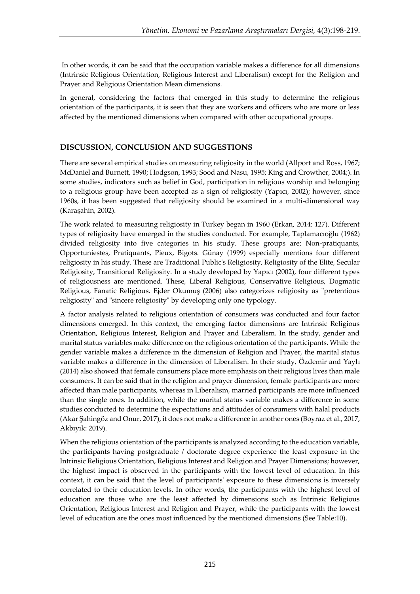In other words, it can be said that the occupation variable makes a difference for all dimensions (Intrinsic Religious Orientation, Religious Interest and Liberalism) except for the Religion and Prayer and Religious Orientation Mean dimensions.

In general, considering the factors that emerged in this study to determine the religious orientation of the participants, it is seen that they are workers and officers who are more or less affected by the mentioned dimensions when compared with other occupational groups.

# **DISCUSSION, CONCLUSION AND SUGGESTIONS**

There are several empirical studies on measuring religiosity in the world (Allport and Ross, 1967; McDaniel and Burnett, 1990; Hodgson, 1993; Sood and Nasu, 1995; King and Crowther, 2004;). In some studies, indicators such as belief in God, participation in religious worship and belonging to a religious group have been accepted as a sign of religiosity (Yapıcı, 2002); however, since 1960s, it has been suggested that religiosity should be examined in a multi-dimensional way (Karaşahin, 2002).

The work related to measuring religiosity in Turkey began in 1960 (Erkan, 2014: 127). Different types of religiosity have emerged in the studies conducted. For example, Taplamacıoğlu (1962) divided religiosity into five categories in his study. These groups are; Non-pratiquants, Opportuniestes, Pratiquants, Pieux, Bigots. Günay (1999) especially mentions four different religiosity in his study. These are Traditional Public's Religiosity, Religiosity of the Elite, Secular Religiosity, Transitional Religiosity. In a study developed by Yapıcı (2002), four different types of religiousness are mentioned. These, Liberal Religious, Conservative Religious, Dogmatic Religious, Fanatic Religious. Ejder Okumuş (2006) also categorizes religiosity as "pretentious religiosity" and "sincere religiosity" by developing only one typology.

A factor analysis related to religious orientation of consumers was conducted and four factor dimensions emerged. In this context, the emerging factor dimensions are Intrinsic Religious Orientation, Religious Interest, Religion and Prayer and Liberalism. In the study, gender and marital status variables make difference on the religious orientation of the participants. While the gender variable makes a difference in the dimension of Religion and Prayer, the marital status variable makes a difference in the dimension of Liberalism. In their study, Özdemir and Yaylı (2014) also showed that female consumers place more emphasis on their religious lives than male consumers. It can be said that in the religion and prayer dimension, female participants are more affected than male participants, whereas in Liberalism, married participants are more influenced than the single ones. In addition, while the marital status variable makes a difference in some studies conducted to determine the expectations and attitudes of consumers with halal products (Akar Şahingöz and Onur, 2017), it does not make a difference in another ones (Boyraz et al., 2017, Akbıyık: 2019).

When the religious orientation of the participants is analyzed according to the education variable, the participants having postgraduate / doctorate degree experience the least exposure in the Intrinsic Religious Orientation, Religious Interest and Religion and Prayer Dimensions; however, the highest impact is observed in the participants with the lowest level of education. In this context, it can be said that the level of participants' exposure to these dimensions is inversely correlated to their education levels. In other words, the participants with the highest level of education are those who are the least affected by dimensions such as Intrinsic Religious Orientation, Religious Interest and Religion and Prayer, while the participants with the lowest level of education are the ones most influenced by the mentioned dimensions (See Table:10).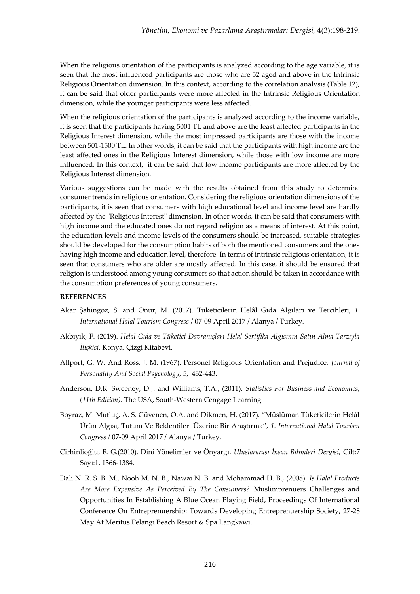When the religious orientation of the participants is analyzed according to the age variable, it is seen that the most influenced participants are those who are 52 aged and above in the Intrinsic Religious Orientation dimension. In this context, according to the correlation analysis (Table 12), it can be said that older participants were more affected in the Intrinsic Religious Orientation dimension, while the younger participants were less affected.

When the religious orientation of the participants is analyzed according to the income variable, it is seen that the participants having 5001 TL and above are the least affected participants in the Religious Interest dimension, while the most impressed participants are those with the income between 501-1500 TL. In other words, it can be said that the participants with high income are the least affected ones in the Religious Interest dimension, while those with low income are more influenced. In this context, it can be said that low income participants are more affected by the Religious Interest dimension.

Various suggestions can be made with the results obtained from this study to determine consumer trends in religious orientation. Considering the religious orientation dimensions of the participants, it is seen that consumers with high educational level and income level are hardly affected by the "Religious Interest" dimension. In other words, it can be said that consumers with high income and the educated ones do not regard religion as a means of interest. At this point, the education levels and income levels of the consumers should be increased, suitable strategies should be developed for the consumption habits of both the mentioned consumers and the ones having high income and education level, therefore. In terms of intrinsic religious orientation, it is seen that consumers who are older are mostly affected. In this case, it should be ensured that religion is understood among young consumers so that action should be taken in accordance with the consumption preferences of young consumers.

#### **REFERENCES**

- Akar Şahingöz, S. and Onur, M. (2017). Tüketicilerin Helâl Gıda Algıları ve Tercihleri, *1. International Halal Tourism Congress* / 07-09 April 2017 / Alanya / Turkey.
- Akbıyık, F. (2019). *Helal Gıda ve Tüketici Davranışları Helal Sertifika Algısının Satın Alma Tarzıyla İlişkisi*, Konya, Çizgi Kitabevi.
- Allport, G. W. And Ross, J. M. (1967). Personel Religious Orientation and Prejudice, *Journal of Personality And Social Psychology,* 5, 432-443.
- Anderson, D.R. Sweeney, D.J. and Williams, T.A., (2011). *Statistics For Business and Economics, (11th Edition).* The USA, South-Western Cengage Learning.
- Boyraz, M. Mutluç, A. S. Güvenen, Ö.A. and Dikmen, H. (2017). "Müslüman Tüketicilerin Helâl Ürün Algısı, Tutum Ve Beklentileri Üzerine Bir Araştırma", *1. International Halal Tourism Congress* / 07-09 April 2017 / Alanya / Turkey.
- Cirhinlioğlu, F. G.(2010). Dini Yönelimler ve Önyargı, *Uluslararası İnsan Bilimleri Dergisi,* Cilt:7 Sayı:1, 1366-1384.
- Dali N. R. S. B. M., Nooh M. N. B., Nawai N. B. and Mohammad H. B., (2008). *Is Halal Products Are More Expensive As Perceived By The Consumers?* Muslimprenuers Challenges and Opportunities In Establishing A Blue Ocean Playing Field, Proceedings Of International Conference On Entreprenuership: Towards Developing Entreprenuership Society, 27-28 May At Meritus Pelangi Beach Resort & Spa Langkawi.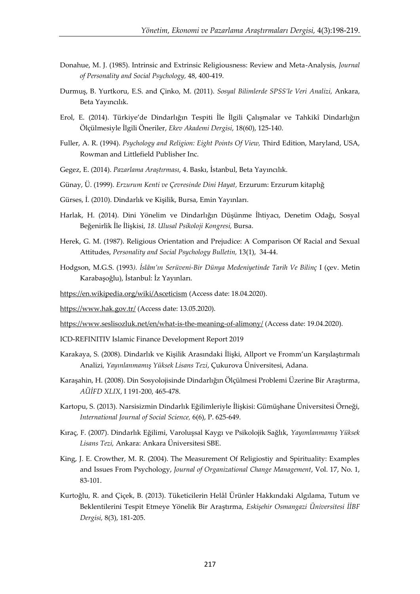- Donahue, M. J. (1985). Intrinsic and Extrinsic Religiousness: Review and Meta-Analysis, *Journal of Personality and Social Psychology,* 48, 400-419.
- Durmuş, B. Yurtkoru, E.S. and Çinko, M. (2011). *Sosyal Bilimlerde SPSS'le Veri Analizi,* Ankara, Beta Yayıncılık.
- Erol, E. (2014). Türkiye'de Dindarlığın Tespiti İle İlgili Çalışmalar ve Tahkikî Dindarlığın Ölçülmesiyle İlgili Öneriler, *Ekev Akademi Dergisi*, 18(60), 125-140.
- Fuller, A. R. (1994). *Psychology and Religion: Eight Points Of View,* Third Edition, Maryland, USA, Rowman and Littlefield Publisher Inc.
- Gegez, E. (2014). *Pazarlama Araştırması*, 4. Baskı, İstanbul, Beta Yayıncılık.
- Günay, Ü. (1999). *Erzurum Kenti ve Çevresinde Dini Hayat,* Erzurum: Erzurum kitaplığ
- Gürses, İ. (2010). Dindarlık ve Kişilik, Bursa, Emin Yayınları.
- Harlak, H. (2014). Dini Yönelim ve Dindarlığın Düşünme İhtiyacı, Denetim Odağı, Sosyal Beğenirlik İle İlişkisi, *18. Ulusal Psikoloji Kongresi,* Bursa.
- Herek, G. M. (1987). Religious Orientation and Prejudice: A Comparison Of Racial and Sexual Attitudes, *Personality and Social Psychology Bulletin,* 13(1), 34-44.
- Hodgson, M.G.S. (1993*). İslâm'ın Serüveni-Bir Dünya Medeniyetinde Tarih Ve Bilinç* I (çev. Metin Karabaşoğlu), İstanbul: İz Yayınları.
- <https://en.wikipedia.org/wiki/Asceticism> (Access date: 18.04.2020).
- <https://www.hak.gov.tr/> (Access date: 13.05.2020).
- <https://www.seslisozluk.net/en/what-is-the-meaning-of-alimony/> (Access date: 19.04.2020).
- ICD-REFINITIV Islamic Finance Development Report 2019
- Karakaya, S. (2008). Dindarlık ve Kişilik Arasındaki İlişki, Allport ve Fromm'un Karşılaştırmalı Analizi*, Yayınlanmamış Yüksek Lisans Tezi*, Çukurova Üniversitesi, Adana.
- Karaşahin, H. (2008). Din Sosyolojisinde Dindarlığın Ölçülmesi Problemi Üzerine Bir Araştırma, *AÜİFD XLIX*, I 191-200, 465-478.
- Kartopu, S. (2013). Narsisizmin Dindarlık Eğilimleriyle İlişkisi: Gümüşhane Üniversitesi Örneği, *International Journal of Social Science,* 6(6), P. 625-649.
- Kıraç, F. (2007). Dindarlık Eğilimi, Varoluşsal Kaygı ve Psikolojik Sağlık, *Yayımlanmamış Yüksek Lisans Tezi,* Ankara: Ankara Üniversitesi SBE.
- King, J. E. Crowther, M. R. (2004). The Measurement Of Religiostiy and Spirituality: Examples and Issues From Psychology, *Journal of Organizational Change Management*, Vol. 17, No. 1, 83-101.
- Kurtoğlu, R. and Çiçek, B. (2013). Tüketicilerin Helâl Ürünler Hakkındaki Algılama, Tutum ve Beklentilerini Tespit Etmeye Yönelik Bir Araştırma, *Eskişehir Osmangazi Üniversitesi İİBF Dergisi,* 8(3), 181-205.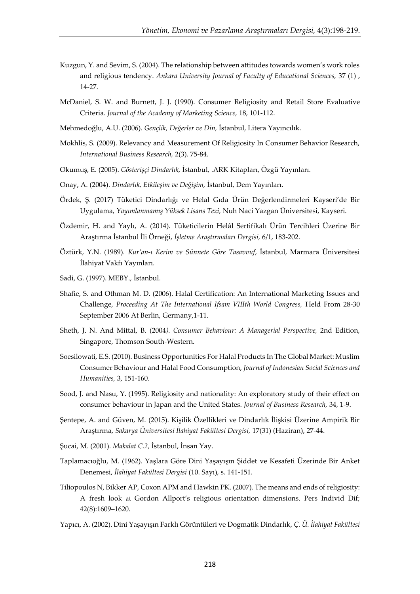- Kuzgun, Y. and Sevim, S. (2004). The relationship between attitudes towards women's work roles and religious tendency. *Ankara University Journal of Faculty of Educational Sciences,* 37 (1) , 14-27.
- McDaniel, S. W. and Burnett, J. J. (1990). Consumer Religiosity and Retail Store Evaluative Criteria. *Journal of the Academy of Marketing Science,* 18, 101-112.
- Mehmedoğlu, A.U. (2006). *Gençlik, Değerler ve Din,* İstanbul, Litera Yayıncılık.
- Mokhlis, S. (2009). Relevancy and Measurement Of Religiosity In Consumer Behavior Research, *International Business Research,* 2(3). 75-84.
- Okumuş, E. (2005). *Gösterişçi Dindarlık,* İstanbul, .ARK Kitapları, Özgü Yayınları.
- Onay, A. (2004). *Dindarlık, Etkileşim ve Değişim,* İstanbul, Dem Yayınları.
- Ördek, Ş. (2017) Tüketici Dindarlığı ve Helal Gıda Ürün Değerlendirmeleri Kayseri'de Bir Uygulama, *Yayımlanmamış Yüksek Lisans Tezi,* Nuh Naci Yazgan Üniversitesi, Kayseri.
- Özdemir, H. and Yaylı, A. (2014). Tüketicilerin Helâl Sertifikalı Ürün Tercihleri Üzerine Bir Araştırma İstanbul İli Örneği, *İşletme Araştırmaları Dergisi,* 6/1, 183-202.
- Öztürk, Y.N. (1989). *Kur'an-ı Kerim ve Sünnete Göre Tasavvuf*, İstanbul, Marmara Üniversitesi İlahiyat Vakfı Yayınları.
- Sadi, G. (1997). MEBY., İstanbul.
- Shafie, S. and Othman M. D. (2006). Halal Certification: An International Marketing Issues and Challenge, *Proceeding At The International Ifsam VIIIth World Congress,* Held From 28-30 September 2006 At Berlin, Germany,1-11.
- Sheth, J. N. And Mittal, B. (2004*). Consumer Behaviour: A Managerial Perspective,* 2nd Edition, Singapore, Thomson South-Western.
- Soesilowati, E.S. (2010). Business Opportunities For Halal Products In The Global Market: Muslim Consumer Behaviour and Halal Food Consumption, *Journal of Indonesian Social Sciences and Humanities,* 3, 151-160.
- Sood, J. and Nasu, Y. (1995). Religiosity and nationality: An exploratory study of their effect on consumer behaviour in Japan and the United States. *Journal of Business Research,* 34, 1-9.
- Şentepe, A. and Güven, M. (2015). Kişilik Özellikleri ve Dindarlık İlişkisi Üzerine Ampirik Bir Araştırma, *Sakarya Üniversitesi İlahiyat Fakültesi Dergisi,* 17(31) (Haziran), 27-44.
- Şucai, M. (2001). *Makalat C.2,* İstanbul, İnsan Yay.
- Taplamacıoğlu, M. (1962). Yaşlara Göre Dini Yaşayışın Şiddet ve Kesafeti Üzerinde Bir Anket Denemesi, *İlahiyat Fakültesi Dergisi* (10. Sayı), s. 141-151.
- Tiliopoulos N, Bikker AP, Coxon APM and Hawkin PK. (2007). The means and ends of religiosity: A fresh look at Gordon Allport's religious orientation dimensions. Pers Individ Dif; 42(8):1609–1620.
- Yapıcı, A. (2002). Dini Yaşayışın Farklı Görüntüleri ve Dogmatik Dindarlık, *Ç. Ü. İlahiyat Fakültesi*